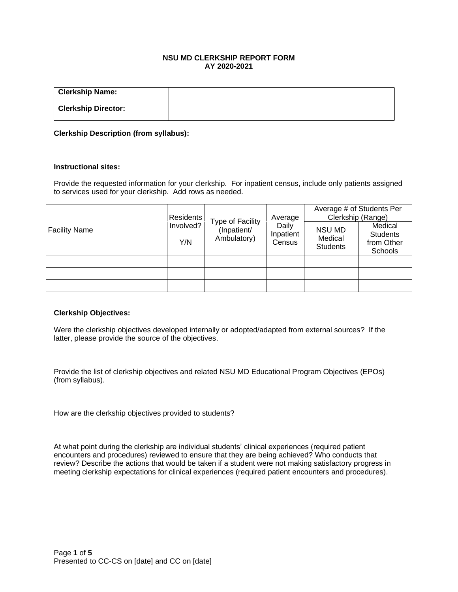# **NSU MD CLERKSHIP REPORT FORM AY 2020-2021**

| <b>Clerkship Name:</b>     |  |
|----------------------------|--|
| <b>Clerkship Director:</b> |  |

### **Clerkship Description (from syllabus):**

#### **Instructional sites:**

Provide the requested information for your clerkship. For inpatient census, include only patients assigned to services used for your clerkship. Add rows as needed.

| <b>Facility Name</b> | <b>Residents</b><br>Involved?<br>Y/N |                                                | Average<br>Daily<br>Inpatient<br>Census | Average # of Students Per<br>Clerkship (Range) |                                                     |  |
|----------------------|--------------------------------------|------------------------------------------------|-----------------------------------------|------------------------------------------------|-----------------------------------------------------|--|
|                      |                                      | Type of Facility<br>(Inpatient/<br>Ambulatory) |                                         | NSU MD<br>Medical<br><b>Students</b>           | Medical<br><b>Students</b><br>from Other<br>Schools |  |
|                      |                                      |                                                |                                         |                                                |                                                     |  |
|                      |                                      |                                                |                                         |                                                |                                                     |  |
|                      |                                      |                                                |                                         |                                                |                                                     |  |

#### **Clerkship Objectives:**

Were the clerkship objectives developed internally or adopted/adapted from external sources? If the latter, please provide the source of the objectives.

Provide the list of clerkship objectives and related NSU MD Educational Program Objectives (EPOs) (from syllabus).

How are the clerkship objectives provided to students?

At what point during the clerkship are individual students' clinical experiences (required patient encounters and procedures) reviewed to ensure that they are being achieved? Who conducts that review? Describe the actions that would be taken if a student were not making satisfactory progress in meeting clerkship expectations for clinical experiences (required patient encounters and procedures).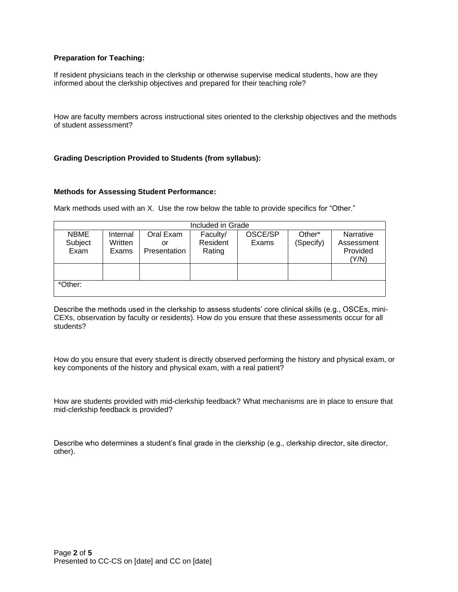### **Preparation for Teaching:**

If resident physicians teach in the clerkship or otherwise supervise medical students, how are they informed about the clerkship objectives and prepared for their teaching role?

How are faculty members across instructional sites oriented to the clerkship objectives and the methods of student assessment?

### **Grading Description Provided to Students (from syllabus):**

#### **Methods for Assessing Student Performance:**

Mark methods used with an X. Use the row below the table to provide specifics for "Other."

| Included in Grade |          |              |          |         |           |            |  |  |
|-------------------|----------|--------------|----------|---------|-----------|------------|--|--|
| <b>NBME</b>       | Internal | Oral Exam    | Faculty/ | OSCE/SP | Other*    | Narrative  |  |  |
| Subject           | Written  | or           | Resident | Exams   | (Specify) | Assessment |  |  |
| Exam              | Exams    | Presentation | Rating   |         |           | Provided   |  |  |
|                   |          |              |          |         |           | (Y/N)      |  |  |
|                   |          |              |          |         |           |            |  |  |
|                   |          |              |          |         |           |            |  |  |
| *Other:           |          |              |          |         |           |            |  |  |
|                   |          |              |          |         |           |            |  |  |

Describe the methods used in the clerkship to assess students' core clinical skills (e.g., OSCEs, mini-CEXs, observation by faculty or residents). How do you ensure that these assessments occur for all students?

How do you ensure that every student is directly observed performing the history and physical exam, or key components of the history and physical exam, with a real patient?

How are students provided with mid-clerkship feedback? What mechanisms are in place to ensure that mid-clerkship feedback is provided?

Describe who determines a student's final grade in the clerkship (e.g., clerkship director, site director, other).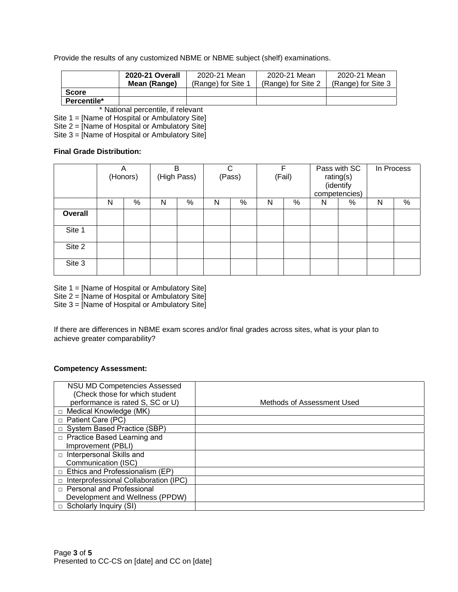Provide the results of any customized NBME or NBME subject (shelf) examinations.

|              | 2020-21 Overall | 2020-21 Mean       | 2020-21 Mean       | 2020-21 Mean       |
|--------------|-----------------|--------------------|--------------------|--------------------|
|              | Mean (Range)    | (Range) for Site 1 | (Range) for Site 2 | (Range) for Site 3 |
| <b>Score</b> |                 |                    |                    |                    |
| Percentile*  |                 |                    |                    |                    |

\* National percentile, if relevant

Site 1 = [Name of Hospital or Ambulatory Site]

Site 2 = [Name of Hospital or Ambulatory Site]

Site 3 = [Name of Hospital or Ambulatory Site]

### **Final Grade Distribution:**

|                | Α<br>(Honors) |   | B<br>(High Pass) |   | C<br>(Pass) |   | F<br>(Fail) |   | Pass with SC<br>rating(s)<br>(identify<br>competencies) |   | In Process |   |
|----------------|---------------|---|------------------|---|-------------|---|-------------|---|---------------------------------------------------------|---|------------|---|
|                | N             | % | N                | % | N           | % | N           | % | N                                                       | % | N          | % |
| <b>Overall</b> |               |   |                  |   |             |   |             |   |                                                         |   |            |   |
| Site 1         |               |   |                  |   |             |   |             |   |                                                         |   |            |   |
| Site 2         |               |   |                  |   |             |   |             |   |                                                         |   |            |   |
| Site 3         |               |   |                  |   |             |   |             |   |                                                         |   |            |   |

Site 1 = [Name of Hospital or Ambulatory Site]

Site 2 = [Name of Hospital or Ambulatory Site]

Site 3 = [Name of Hospital or Ambulatory Site]

If there are differences in NBME exam scores and/or final grades across sites, what is your plan to achieve greater comparability?

# **Competency Assessment:**

| <b>NSU MD Competencies Assessed</b><br>(Check those for which student |                            |
|-----------------------------------------------------------------------|----------------------------|
| performance is rated S, SC or U)                                      | Methods of Assessment Used |
| Medical Knowledge (MK)                                                |                            |
| Patient Care (PC)                                                     |                            |
| □ System Based Practice (SBP)                                         |                            |
| □ Practice Based Learning and                                         |                            |
| Improvement (PBLI)                                                    |                            |
| Interpersonal Skills and<br>$\Box$                                    |                            |
| Communication (ISC)                                                   |                            |
| Ethics and Professionalism (EP)                                       |                            |
| Interprofessional Collaboration (IPC)                                 |                            |
| □ Personal and Professional                                           |                            |
| Development and Wellness (PPDW)                                       |                            |
| Scholarly Inquiry (SI)                                                |                            |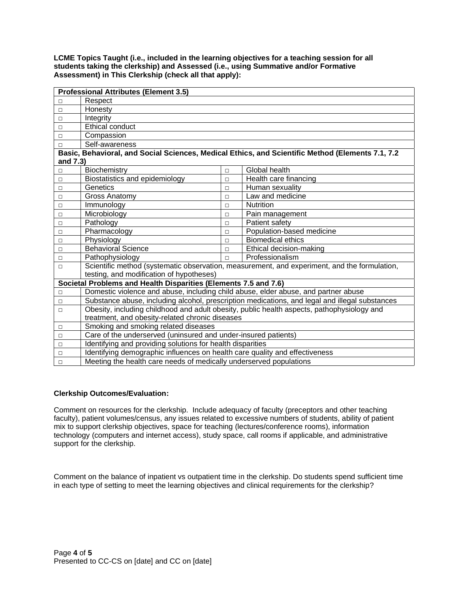**LCME Topics Taught (i.e., included in the learning objectives for a teaching session for all students taking the clerkship) and Assessed (i.e., using Summative and/or Formative Assessment) in This Clerkship (check all that apply):**

| <b>Professional Attributes (Element 3.5)</b> |                                                                                                |        |                                                                                                  |  |  |  |
|----------------------------------------------|------------------------------------------------------------------------------------------------|--------|--------------------------------------------------------------------------------------------------|--|--|--|
| П                                            | Respect                                                                                        |        |                                                                                                  |  |  |  |
| $\Box$                                       | Honesty                                                                                        |        |                                                                                                  |  |  |  |
| $\Box$                                       | Integrity                                                                                      |        |                                                                                                  |  |  |  |
| $\Box$                                       | <b>Ethical conduct</b>                                                                         |        |                                                                                                  |  |  |  |
| □                                            | Compassion                                                                                     |        |                                                                                                  |  |  |  |
| П                                            | Self-awareness                                                                                 |        |                                                                                                  |  |  |  |
|                                              |                                                                                                |        | Basic, Behavioral, and Social Sciences, Medical Ethics, and Scientific Method (Elements 7.1, 7.2 |  |  |  |
| and 7.3)                                     |                                                                                                |        |                                                                                                  |  |  |  |
| П.                                           | Biochemistry                                                                                   | $\Box$ | Global health                                                                                    |  |  |  |
| $\Box$                                       | Biostatistics and epidemiology                                                                 | $\Box$ | Health care financing                                                                            |  |  |  |
| $\Box$                                       | Genetics                                                                                       | $\Box$ | Human sexuality                                                                                  |  |  |  |
| $\Box$                                       | <b>Gross Anatomy</b>                                                                           | $\Box$ | Law and medicine                                                                                 |  |  |  |
| $\Box$                                       | Immunology                                                                                     | $\Box$ | Nutrition                                                                                        |  |  |  |
| $\Box$                                       | Microbiology<br>Pain management<br>П                                                           |        |                                                                                                  |  |  |  |
| $\Box$                                       | Pathology                                                                                      | $\Box$ | Patient safety                                                                                   |  |  |  |
| $\Box$                                       | Pharmacology                                                                                   | П      | Population-based medicine                                                                        |  |  |  |
| П                                            | Physiology                                                                                     | П      | <b>Biomedical ethics</b>                                                                         |  |  |  |
| $\Box$                                       | <b>Behavioral Science</b><br>Ethical decision-making<br>П                                      |        |                                                                                                  |  |  |  |
| $\Box$                                       | Professionalism<br>Pathophysiology<br>$\Box$                                                   |        |                                                                                                  |  |  |  |
| П                                            | Scientific method (systematic observation, measurement, and experiment, and the formulation,   |        |                                                                                                  |  |  |  |
|                                              | testing, and modification of hypotheses)                                                       |        |                                                                                                  |  |  |  |
|                                              | Societal Problems and Health Disparities (Elements 7.5 and 7.6)                                |        |                                                                                                  |  |  |  |
| $\Box$                                       | Domestic violence and abuse, including child abuse, elder abuse, and partner abuse             |        |                                                                                                  |  |  |  |
| □                                            | Substance abuse, including alcohol, prescription medications, and legal and illegal substances |        |                                                                                                  |  |  |  |
| $\Box$                                       | Obesity, including childhood and adult obesity, public health aspects, pathophysiology and     |        |                                                                                                  |  |  |  |
|                                              | treatment, and obesity-related chronic diseases                                                |        |                                                                                                  |  |  |  |
| $\Box$                                       | Smoking and smoking related diseases                                                           |        |                                                                                                  |  |  |  |
| $\Box$                                       | Care of the underserved (uninsured and under-insured patients)                                 |        |                                                                                                  |  |  |  |
| П                                            | Identifying and providing solutions for health disparities                                     |        |                                                                                                  |  |  |  |
| $\Box$                                       | Identifying demographic influences on health care quality and effectiveness                    |        |                                                                                                  |  |  |  |
| $\Box$                                       | Meeting the health care needs of medically underserved populations                             |        |                                                                                                  |  |  |  |

# **Clerkship Outcomes/Evaluation:**

Comment on resources for the clerkship. Include adequacy of faculty (preceptors and other teaching faculty), patient volumes/census, any issues related to excessive numbers of students, ability of patient mix to support clerkship objectives, space for teaching (lectures/conference rooms), information technology (computers and internet access), study space, call rooms if applicable, and administrative support for the clerkship.

Comment on the balance of inpatient vs outpatient time in the clerkship. Do students spend sufficient time in each type of setting to meet the learning objectives and clinical requirements for the clerkship?